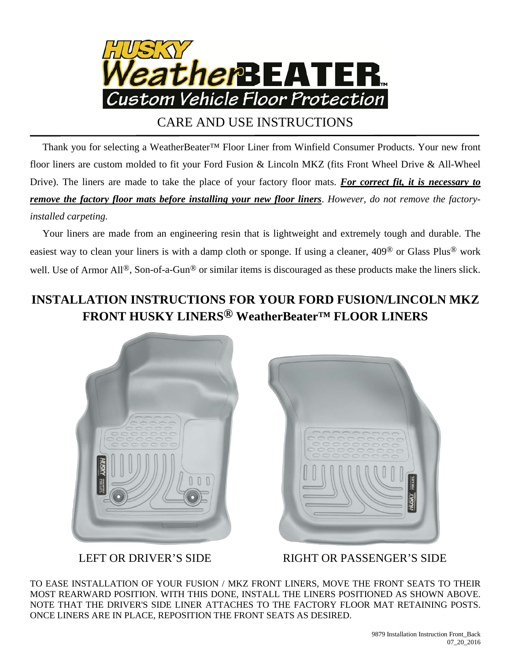

## CARE AND USE INSTRUCTIONS

 Thank you for selecting a WeatherBeater™ Floor Liner from Winfield Consumer Products. Your new front floor liners are custom molded to fit your Ford Fusion & Lincoln MKZ (fits Front Wheel Drive & All-Wheel Drive). The liners are made to take the place of your factory floor mats. *For correct fit, it is necessary to remove the factory floor mats before installing your new floor liners*. *However, do not remove the factoryinstalled carpeting.*

 Your liners are made from an engineering resin that is lightweight and extremely tough and durable. The easiest way to clean your liners is with a damp cloth or sponge. If using a cleaner, 409® or Glass Plus® work well. Use of Armor All<sup>®</sup>, Son-of-a-Gun<sup>®</sup> or similar items is discouraged as these products make the liners slick.

## **INSTALLATION INSTRUCTIONS FOR YOUR FORD FUSION/LINCOLN MKZ FRONT HUSKY LINERS® WeatherBeater™ FLOOR LINERS**





LEFT OR DRIVER'S SIDE RIGHT OR PASSENGER'S SIDE

TO EASE INSTALLATION OF YOUR FUSION / MKZ FRONT LINERS, MOVE THE FRONT SEATS TO THEIR MOST REARWARD POSITION. WITH THIS DONE, INSTALL THE LINERS POSITIONED AS SHOWN ABOVE. NOTE THAT THE DRIVER'S SIDE LINER ATTACHES TO THE FACTORY FLOOR MAT RETAINING POSTS. ONCE LINERS ARE IN PLACE, REPOSITION THE FRONT SEATS AS DESIRED.